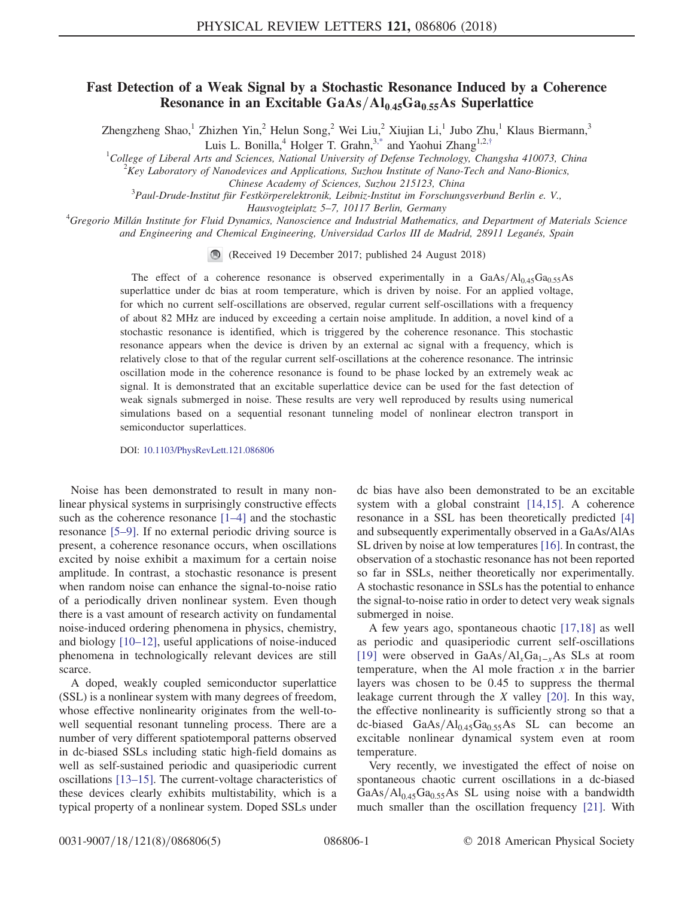## Fast Detection of a Weak Signal by a Stochastic Resonance Induced by a Coherence Resonance in an Excitable  $GaAs/Al<sub>0.45</sub>Ga<sub>0.55</sub>As Superlattice$

<span id="page-0-0"></span>Zhengzheng Shao,<sup>1</sup> Zhizhen Yin,<sup>2</sup> Helun Song,<sup>2</sup> Wei Liu,<sup>2</sup> Xiujian Li,<sup>1</sup> Jubo Zhu,<sup>1</sup> Klaus Biermann,<sup>3</sup>

Luis L. Bonilla,<sup>4</sup> Holger T. Grahn,<sup>3[,\\*](#page-4-0)</sup> and Yaohui Zhang<sup>1,2,[†](#page-4-1)</sup>

<sup>1</sup>College of Liberal Arts and Sciences, National University of Defense Technology, Changsha 410073, China  $\frac{2\mathbf{V_{CV}}}{\rho}$  Laboratory of Nanodoviaes and Applications. System Institute of Nano Tech and Nano Piemies

 $K^2$ Key Laboratory of Nanodevices and Applications, Suzhou Institute of Nano-Tech and Nano-Bionics,

Chinese Academy of Sciences, Suzhou 215123, China<br>3 Paul-Drude-Institut für Festkörperelektronik, Leibniz-Institut im Forschungsverbund Berlin e. V.,

Hausvogteiplatz 5–7, 10117 Berlin, Germany<br><sup>4</sup>Gregorio Millán Institute for Fluid Dynamics, Nanoscience and Industrial Mathematics, and Department of Materials Science and Engineering and Chemical Engineering, Universidad Carlos III de Madrid, 28911 Leganés, Spain

(Received 19 December 2017; published 24 August 2018)

The effect of a coherence resonance is observed experimentally in a GaAs/ $Al<sub>0.45</sub>Ga<sub>0.55</sub>As$ superlattice under dc bias at room temperature, which is driven by noise. For an applied voltage, for which no current self-oscillations are observed, regular current self-oscillations with a frequency of about 82 MHz are induced by exceeding a certain noise amplitude. In addition, a novel kind of a stochastic resonance is identified, which is triggered by the coherence resonance. This stochastic resonance appears when the device is driven by an external ac signal with a frequency, which is relatively close to that of the regular current self-oscillations at the coherence resonance. The intrinsic oscillation mode in the coherence resonance is found to be phase locked by an extremely weak ac signal. It is demonstrated that an excitable superlattice device can be used for the fast detection of weak signals submerged in noise. These results are very well reproduced by results using numerical simulations based on a sequential resonant tunneling model of nonlinear electron transport in semiconductor superlattices.

DOI: [10.1103/PhysRevLett.121.086806](https://doi.org/10.1103/PhysRevLett.121.086806)

Noise has been demonstrated to result in many nonlinear physical systems in surprisingly constructive effects such as the coherence resonance [1–[4\]](#page-4-2) and the stochastic resonance [\[5](#page-4-3)–9]. If no external periodic driving source is present, a coherence resonance occurs, when oscillations excited by noise exhibit a maximum for a certain noise amplitude. In contrast, a stochastic resonance is present when random noise can enhance the signal-to-noise ratio of a periodically driven nonlinear system. Even though there is a vast amount of research activity on fundamental noise-induced ordering phenomena in physics, chemistry, and biology [10–[12\],](#page-4-4) useful applications of noise-induced phenomena in technologically relevant devices are still scarce.

A doped, weakly coupled semiconductor superlattice (SSL) is a nonlinear system with many degrees of freedom, whose effective nonlinearity originates from the well-towell sequential resonant tunneling process. There are a number of very different spatiotemporal patterns observed in dc-biased SSLs including static high-field domains as well as self-sustained periodic and quasiperiodic current oscillations [\[13](#page-4-5)–15]. The current-voltage characteristics of these devices clearly exhibits multistability, which is a typical property of a nonlinear system. Doped SSLs under dc bias have also been demonstrated to be an excitable system with a global constraint [\[14,15\]](#page-4-6). A coherence resonance in a SSL has been theoretically predicted [\[4\]](#page-4-7) and subsequently experimentally observed in a GaAs/AlAs SL driven by noise at low temperatures [\[16\]](#page-4-8). In contrast, the observation of a stochastic resonance has not been reported so far in SSLs, neither theoretically nor experimentally. A stochastic resonance in SSLs has the potential to enhance the signal-to-noise ratio in order to detect very weak signals submerged in noise.

A few years ago, spontaneous chaotic [\[17,18\]](#page-4-9) as well as periodic and quasiperiodic current self-oscillations [\[19\]](#page-4-10) were observed in GaAs/Al<sub>x</sub>Ga<sub>1−x</sub>As SLs at room temperature, when the Al mole fraction  $x$  in the barrier layers was chosen to be 0.45 to suppress the thermal leakage current through the X valley [\[20\]](#page-4-11). In this way, the effective nonlinearity is sufficiently strong so that a dc-biased  $GaAs/Al<sub>0.45</sub>Ga<sub>0.55</sub>As SL can become an$ excitable nonlinear dynamical system even at room temperature.

Very recently, we investigated the effect of noise on spontaneous chaotic current oscillations in a dc-biased  $GaAs/Al<sub>0.45</sub>Ga<sub>0.55</sub>As SL using noise with a bandwidth$ much smaller than the oscillation frequency [\[21\].](#page-4-12) With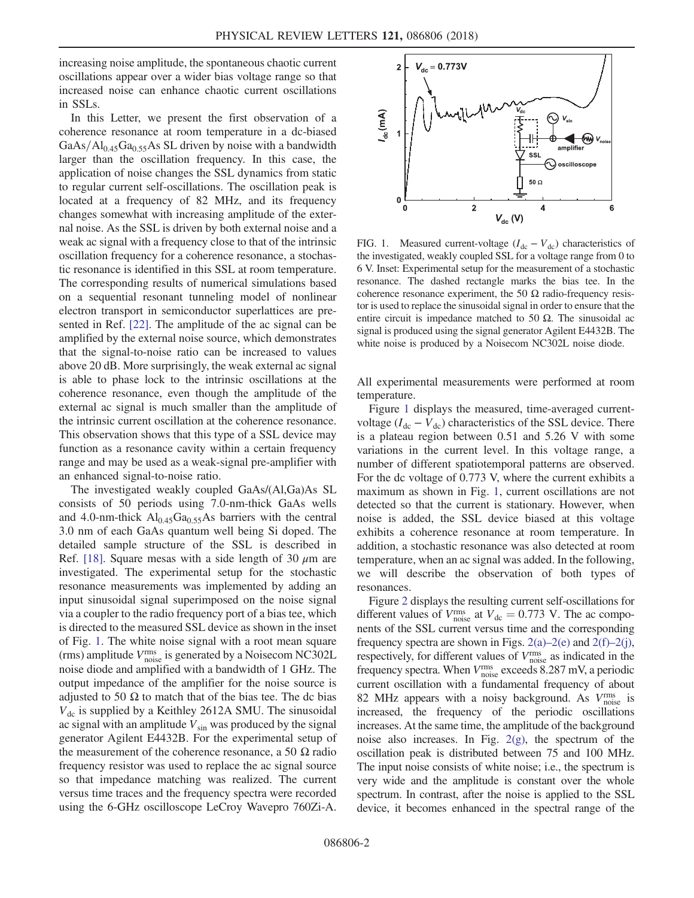increasing noise amplitude, the spontaneous chaotic current oscillations appear over a wider bias voltage range so that increased noise can enhance chaotic current oscillations in SSLs.

In this Letter, we present the first observation of a coherence resonance at room temperature in a dc-biased  $GaAs/Al<sub>0.45</sub>Ga<sub>0.55</sub>As SL driven by noise with a bandwidth$ larger than the oscillation frequency. In this case, the application of noise changes the SSL dynamics from static to regular current self-oscillations. The oscillation peak is located at a frequency of 82 MHz, and its frequency changes somewhat with increasing amplitude of the external noise. As the SSL is driven by both external noise and a weak ac signal with a frequency close to that of the intrinsic oscillation frequency for a coherence resonance, a stochastic resonance is identified in this SSL at room temperature. The corresponding results of numerical simulations based on a sequential resonant tunneling model of nonlinear electron transport in semiconductor superlattices are presented in Ref. [\[22\]](#page-4-13). The amplitude of the ac signal can be amplified by the external noise source, which demonstrates that the signal-to-noise ratio can be increased to values above 20 dB. More surprisingly, the weak external ac signal is able to phase lock to the intrinsic oscillations at the coherence resonance, even though the amplitude of the external ac signal is much smaller than the amplitude of the intrinsic current oscillation at the coherence resonance. This observation shows that this type of a SSL device may function as a resonance cavity within a certain frequency range and may be used as a weak-signal pre-amplifier with an enhanced signal-to-noise ratio.

The investigated weakly coupled GaAs/(Al,Ga)As SL consists of 50 periods using 7.0-nm-thick GaAs wells and 4.0-nm-thick  $Al<sub>0.45</sub>Ga<sub>0.55</sub>As barriers with the central$ 3.0 nm of each GaAs quantum well being Si doped. The detailed sample structure of the SSL is described in Ref. [\[18\].](#page-4-14) Square mesas with a side length of 30  $\mu$ m are investigated. The experimental setup for the stochastic resonance measurements was implemented by adding an input sinusoidal signal superimposed on the noise signal via a coupler to the radio frequency port of a bias tee, which is directed to the measured SSL device as shown in the inset of Fig. [1](#page-1-0). The white noise signal with a root mean square (rms) amplitude  $V_{\text{noise}}^{\text{rms}}$  is generated by a Noisecom NC302L noise diode and amplified with a bandwidth of 1 GHz. The output impedance of the amplifier for the noise source is adjusted to 50  $\Omega$  to match that of the bias tee. The dc bias  $V_{\text{dc}}$  is supplied by a Keithley 2612A SMU. The sinusoidal ac signal with an amplitude  $V_{\text{sin}}$  was produced by the signal generator Agilent E4432B. For the experimental setup of the measurement of the coherence resonance, a 50  $\Omega$  radio frequency resistor was used to replace the ac signal source so that impedance matching was realized. The current versus time traces and the frequency spectra were recorded using the 6-GHz oscilloscope LeCroy Wavepro 760Zi-A.

<span id="page-1-0"></span>

FIG. 1. Measured current-voltage  $(I_{dc} - V_{dc})$  characteristics of the investigated, weakly coupled SSL for a voltage range from 0 to 6 V. Inset: Experimental setup for the measurement of a stochastic resonance. The dashed rectangle marks the bias tee. In the coherence resonance experiment, the 50  $\Omega$  radio-frequency resistor is used to replace the sinusoidal signal in order to ensure that the entire circuit is impedance matched to 50  $\Omega$ . The sinusoidal ac signal is produced using the signal generator Agilent E4432B. The white noise is produced by a Noisecom NC302L noise diode.

All experimental measurements were performed at room temperature.

Figure [1](#page-1-0) displays the measured, time-averaged currentvoltage ( $I_{dc} - V_{dc}$ ) characteristics of the SSL device. There is a plateau region between 0.51 and 5.26 V with some variations in the current level. In this voltage range, a number of different spatiotemporal patterns are observed. For the dc voltage of 0.773 V, where the current exhibits a maximum as shown in Fig. [1,](#page-1-0) current oscillations are not detected so that the current is stationary. However, when noise is added, the SSL device biased at this voltage exhibits a coherence resonance at room temperature. In addition, a stochastic resonance was also detected at room temperature, when an ac signal was added. In the following, we will describe the observation of both types of resonances.

Figure [2](#page-2-0) displays the resulting current self-oscillations for different values of  $V_{\text{noise}}^{\text{rms}}$  at  $V_{\text{dc}} = 0.773$  V. The ac components of the SSL current versus time and the corresponding frequency spectra are shown in Figs.  $2(a)-2(e)$  $2(a)-2(e)$  and  $2(f)-2(i)$  $2(f)-2(i)$ , respectively, for different values of  $V_{\text{noise}}^{\text{rms}}$  as indicated in the frequency spectra. When  $V_{\text{noise}}^{\text{rms}}$  exceeds 8.287 mV, a periodic current oscillation with a fundamental frequency of about 82 MHz appears with a noisy background. As  $V_{\text{noise}}^{\text{rms}}$  is increased, the frequency of the periodic oscillations increases. At the same time, the amplitude of the background noise also increases. In Fig. [2\(g\)](#page-2-0), the spectrum of the oscillation peak is distributed between 75 and 100 MHz. The input noise consists of white noise; i.e., the spectrum is very wide and the amplitude is constant over the whole spectrum. In contrast, after the noise is applied to the SSL device, it becomes enhanced in the spectral range of the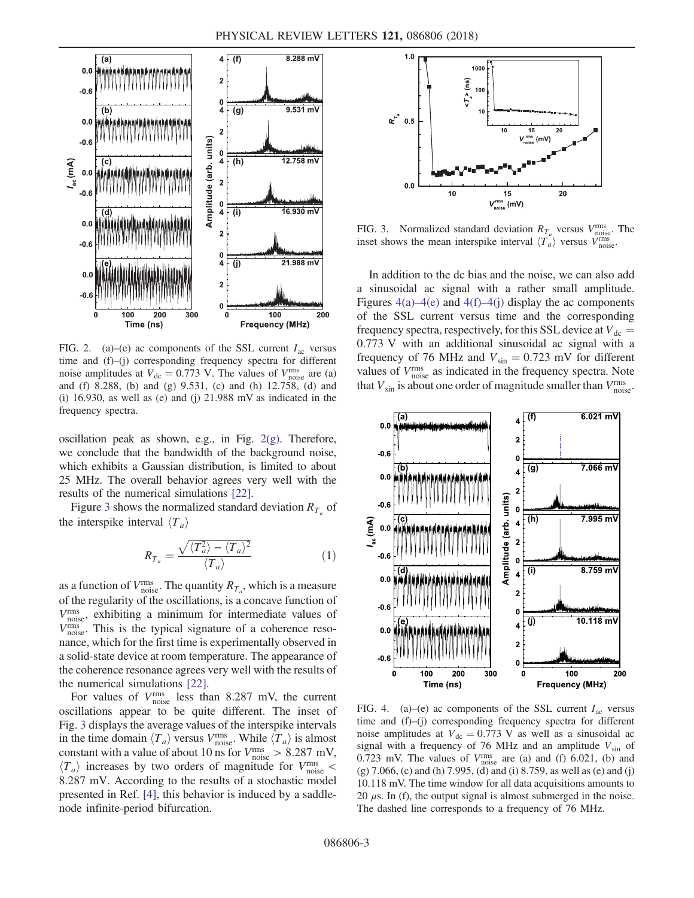<span id="page-2-0"></span>

FIG. 2. (a)–(e) ac components of the SSL current  $I_{ac}$  versus time and (f)–(j) corresponding frequency spectra for different noise amplitudes at  $V_{\text{dc}} = 0.773$  V. The values of  $V_{\text{noise}}^{\text{rms}}$  are (a) and (f) 8.288, (b) and (g) 9.531, (c) and (h) 12.758, (d) and (i) 16.930, as well as (e) and (j)  $21.988$  mV as indicated in the frequency spectra.

oscillation peak as shown, e.g., in Fig.  $2(g)$ . Therefore, we conclude that the bandwidth of the background noise, which exhibits a Gaussian distribution, is limited to about 25 MHz. The overall behavior agrees very well with the results of the numerical simulations [\[22\]](#page-4-13).

Figure [3](#page-2-1) shows the normalized standard deviation  $R_{T_a}$  of the interspike interval  $\langle T_a \rangle$ 

$$
R_{T_a} = \frac{\sqrt{\langle T_a^2 \rangle - \langle T_a \rangle^2}}{\langle T_a \rangle} \tag{1}
$$

as a function of  $V_{\text{noise}}^{\text{rms}}$ . The quantity  $R_{T_a}$ , which is a measure of the regularity of the oscillations, is a concave function of Vrms noise, exhibiting a minimum for intermediate values of  $V_{\text{noise}}^{\text{rms}}$ . This is the typical signature of a coherence resonance, which for the first time is experimentally observed in a solid-state device at room temperature. The appearance of the coherence resonance agrees very well with the results of the numerical simulations [\[22\]](#page-4-13).

For values of  $V_{\text{noise}}^{\text{rms}}$  less than 8.287 mV, the current oscillations appear to be quite different. The inset of Fig. [3](#page-2-1) displays the average values of the interspike intervals in the time domain  $\langle T_a \rangle$  versus  $V_{\text{noise}}^{\text{rms}}$ . While  $\langle T_a \rangle$  is almost constant with a value of about 10 ns for  $V_{\text{noise}}^{\text{rms}} > 8.287 \text{ mV}$ ,  $\langle T_a \rangle$  increases by two orders of magnitude for  $V_{\text{noise}}^{\text{rms}}$  < 8.287 mV. According to the results of a stochastic model presented in Ref. [\[4\]](#page-4-7), this behavior is induced by a saddlenode infinite-period bifurcation.

<span id="page-2-1"></span>

FIG. 3. Normalized standard deviation  $R_{T_a}$  versus  $V_{\text{noise}}^{\text{rms}}$ . The inset shows the mean interspike interval  $\langle T_a \rangle$  versus  $V_{\text{noise}}^{\text{rms}}$ .

In addition to the dc bias and the noise, we can also add a sinusoidal ac signal with a rather small amplitude. Figures  $4(a)$ – $4(e)$  and  $4(f)$ – $4(i)$  display the ac components of the SSL current versus time and the corresponding frequency spectra, respectively, for this SSL device at  $V_{dc}$  = 0.773 V with an additional sinusoidal ac signal with a frequency of 76 MHz and  $V_{\text{sin}} = 0.723$  mV for different values of  $V_{\text{noise}}^{\text{rms}}$  as indicated in the frequency spectra. Note that  $V_{\text{sin}}$  is about one order of magnitude smaller than  $V_{\text{noise}}^{\text{rms}}$ .

<span id="page-2-2"></span>

FIG. 4. (a)–(e) ac components of the SSL current  $I_{ac}$  versus time and (f)–(j) corresponding frequency spectra for different noise amplitudes at  $V_{dc} = 0.773$  V as well as a sinusoidal ac signal with a frequency of 76 MHz and an amplitude  $V_{\text{sin}}$  of 0.723 mV. The values of  $V_{\text{noise}}^{\text{rms}}$  are (a) and (f) 6.021, (b) and (g) 7.066, (c) and (h) 7.995, (d) and (i) 8.759, as well as (e) and (j) 10.118 mV. The time window for all data acquisitions amounts to 20  $\mu$ s. In (f), the output signal is almost submerged in the noise. The dashed line corresponds to a frequency of 76 MHz.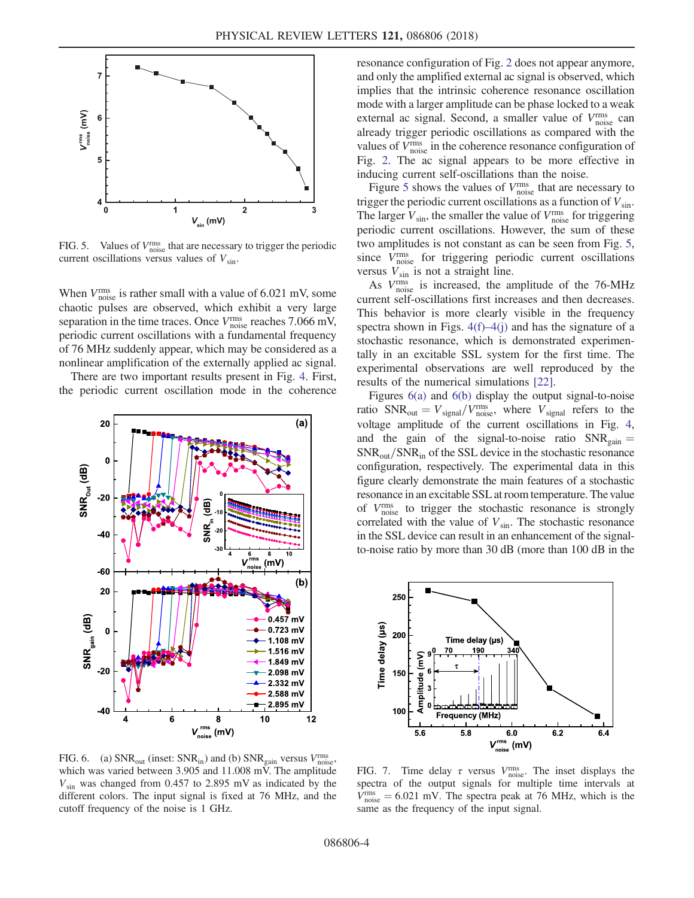<span id="page-3-0"></span>

FIG. 5. Values of  $V_{\text{noise}}^{\text{rms}}$  that are necessary to trigger the periodic current oscillations versus values of  $V_{\rm sin}$ .

When  $V_{\text{noise}}^{\text{rms}}$  is rather small with a value of 6.021 mV, some chaotic pulses are observed, which exhibit a very large separation in the time traces. Once  $V_{\text{noise}}^{\text{rms}}$  reaches 7.066 mV, periodic current oscillations with a fundamental frequency of 76 MHz suddenly appear, which may be considered as a nonlinear amplification of the externally applied ac signal.

There are two important results present in Fig. [4](#page-2-2). First, the periodic current oscillation mode in the coherence

<span id="page-3-1"></span>

FIG. 6. (a)  $SNR_{out}$  (inset:  $SNR_{in}$ ) and (b)  $SNR_{gain}$  versus  $V_{noise}^{rms}$ , which was varied between 3.905 and 11.008 mV. The amplitude  $V_{\text{sin}}$  was changed from 0.457 to 2.895 mV as indicated by the different colors. The input signal is fixed at 76 MHz, and the cutoff frequency of the noise is 1 GHz.

resonance configuration of Fig. [2](#page-2-0) does not appear anymore, and only the amplified external ac signal is observed, which implies that the intrinsic coherence resonance oscillation mode with a larger amplitude can be phase locked to a weak external ac signal. Second, a smaller value of  $V_{\text{noise}}^{\text{rms}}$  can already trigger periodic oscillations as compared with the values of  $V_{\text{noise}}^{\text{rms}}$  in the coherence resonance configuration of Fig. [2](#page-2-0). The ac signal appears to be more effective in inducing current self-oscillations than the noise.

Figure [5](#page-3-0) shows the values of  $V_{\text{noise}}^{\text{rms}}$  that are necessary to trigger the periodic current oscillations as a function of  $V_{\text{sin}}$ . The larger  $V_{\text{sin}}$ , the smaller the value of  $V_{\text{noise}}^{\text{rms}}$  for triggering periodic current oscillations. However, the sum of these two amplitudes is not constant as can be seen from Fig. [5](#page-3-0), since V<sup>rms</sup> for triggering periodic current oscillations versus  $V_{\text{sin}}$  is not a straight line.

As  $V_{\text{noise}}^{\text{rms}}$  is increased, the amplitude of the 76-MHz current self-oscillations first increases and then decreases. This behavior is more clearly visible in the frequency spectra shown in Figs.  $4(f)$ – $4(j)$  and has the signature of a stochastic resonance, which is demonstrated experimentally in an excitable SSL system for the first time. The experimental observations are well reproduced by the results of the numerical simulations [\[22\]](#page-4-13).

Figures [6\(a\)](#page-3-1) and [6\(b\)](#page-3-1) display the output signal-to-noise ratio  $SNR_{out} = V_{signal}/V_{noise}^{rms}$ , where  $V_{signal}$  refers to the voltage amplitude of the current oscillations in Fig. [4](#page-2-2), and the gain of the signal-to-noise ratio  $SNR_{gain} =$  $SNR_{out}/SNR_{in}$  of the SSL device in the stochastic resonance configuration, respectively. The experimental data in this figure clearly demonstrate the main features of a stochastic resonance in an excitable SSL at room temperature. The value of V<sup>rms</sup> to trigger the stochastic resonance is strongly correlated with the value of  $V_{\text{sin}}$ . The stochastic resonance in the SSL device can result in an enhancement of the signalto-noise ratio by more than 30 dB (more than 100 dB in the

<span id="page-3-2"></span>

FIG. 7. Time delay  $\tau$  versus  $V_{\text{noise}}^{\text{rms}}$ . The inset displays the spectra of the output signals for multiple time intervals at  $V_{\text{noise}}^{\text{rms}} = 6.021 \text{ mV}$ . The spectra peak at 76 MHz, which is the same as the frequency of the input signal.